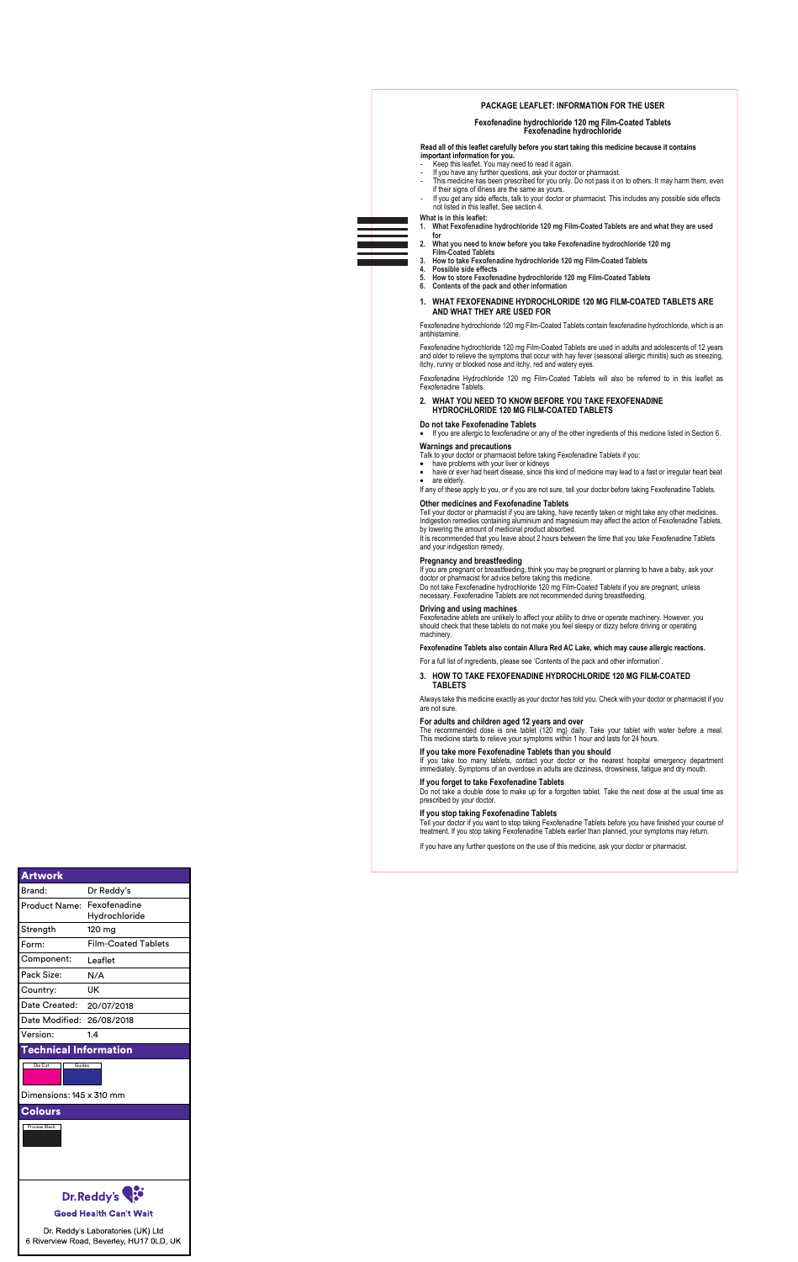Tell your doctor or pharmacist if you are taking, have recently taken or might take any other medicines. Indigestion remedies containing aluminium and magnesium may affect the action of Fexofenadine Tablets, by lowering the amount of medicinal product absorbed.

• If you are allergic to fexofenadine or any of the other ingredients of this medicine listed in Section 6.

Fexofenadine ablets are unlikely to affect your ability to drive or operate machinery. However, you should check that these tablets do not make you feel sleepy or dizzy before driving or operating machinery

#### **Warnings and precautions**

Talk to your doctor or pharmacist before taking Fexofenadine Tablets if you:

- have problems with your liver or kidneys
- have or ever had heart disease, since this kind of medicine may lead to a fast or irregular heart beat
- are elderly.
- If any of these apply to you, or if you are not sure, tell your doctor before taking Fexofenadine Tablets.

#### **Other medicines and Fexofenadine Tablets**

If you take too many tablets, contact your doctor or the nearest hospital emergency department immediately. Symptoms of an overdose in adults are dizziness, drowsiness, fatigue and dry mouth.

Do not take a double dose to make up for a forgotten tablet. Take the next dose at the usual time as by your do

It is recommended that you leave about 2 hours between the time that you take Fexofenadine Tablets and your indigestion remedy.

#### **Pregnancy and breastfeeding**

If you are pregnant or breastfeeding, think you may be pregnant or planning to have a baby, ask your doctor or pharmacist for advice before taking this medicine.

Do not take Fexofenadine hydrochloride 120 mg Film-Coated Tablets if you are pregnant, unless necessary. Fexofenadine Tablets are not recommended during breastfeeding.

#### **Driving and using machines**

#### **Fexofenadine Tablets also contain Allura Red AC Lake, which may cause allergic reactions.**

For a full list of ingredients, please see 'Contents of the pack and other information'.

#### **3. HOW TO TAKE FEXOFENADINE HYDROCHLORIDE 120 MG FILM-COATED TABLETS**

Always take this medicine exactly as your doctor has told you. Check with your doctor or pharmacist if you are not sure.

#### **For adults and children aged 12 years and over**

The recommended dose is one tablet (120 mg) daily. Take your tablet with water before a meal. This medicine starts to relieve your symptoms within 1 hour and lasts for 24 hours.

### **If you take more Fexofenadine Tablets than you should**

#### **If you forget to take Fexofenadine Tablets**

#### **If you stop taking Fexofenadine Tablets**

Tell your doctor if you want to stop taking Fexofenadine Tablets before you have finished your course of treatment. If you stop taking Fexofenadine Tablets earlier than planned, your symptoms may return.



If you have any further questions on the use of this medicine, ask your doctor or pharmacist.